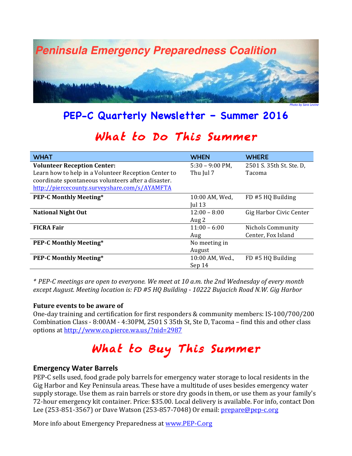

### **PEP-C Quarterly Newsletter – Summer 2016**

## What to Do This Summer

| <b>WHAT</b>                                          | <b>WHEN</b>              | <b>WHERE</b>             |
|------------------------------------------------------|--------------------------|--------------------------|
| <b>Volunteer Reception Center:</b>                   | $5:30 - 9:00 \text{ PM}$ | 2501 S. 35th St. Ste. D, |
| Learn how to help in a Volunteer Reception Center to | Thu Jul 7                | <b>Tacoma</b>            |
| coordinate spontaneous volunteers after a disaster.  |                          |                          |
| http://piercecounty.surveyshare.com/s/AYAMFTA        |                          |                          |
| <b>PEP-C Monthly Meeting*</b>                        | 10:00 AM, Wed,           | FD #5 HQ Building        |
|                                                      | Jul $13$                 |                          |
| <b>National Night Out</b>                            | $12:00 - 8:00$           | Gig Harbor Civic Center  |
|                                                      | Aug 2                    |                          |
| <b>FICRA Fair</b>                                    | $11:00 - 6:00$           | Nichols Community        |
|                                                      | Aug                      | Center, Fox Island       |
| <b>PEP-C Monthly Meeting*</b>                        | No meeting in            |                          |
|                                                      | August                   |                          |
| <b>PEP-C Monthly Meeting*</b>                        | 10:00 AM, Wed.,          | FD #5 HQ Building        |
|                                                      | Sep 14                   |                          |

*\* PEP-C meetings are open to everyone. We meet at 10 a.m. the 2nd Wednesday of every month except August. Meeting location is: FD #5 HQ Building - 10222 Bujacich Road N.W. Gig Harbor*

#### **Future events to be aware of**

One-day training and certification for first responders & community members: IS-100/700/200 Combination Class - 8:00AM - 4:30PM, 2501 S 35th St, Ste D, Tacoma – find this and other class options at <http://www.co.pierce.wa.us/?nid=2987>

# What to Buy This Summer

#### **Emergency Water Barrels**

PEP-C sells used, food grade poly barrels for emergency water storage to local residents in the Gig Harbor and Key Peninsula areas. These have a multitude of uses besides emergency water supply storage. Use them as rain barrels or store dry goods in them, or use them as your family's 72-hour emergency kit container. Price: \$35.00. Local delivery is available. For info, contact Don Lee (253-851-3567) or Dave Watson (253-857-7048) Or email: [prepare@pep-c.org](mailto:prepare@pep-c.org)

More info about Emergency Preparedness at www.PEP-C.org